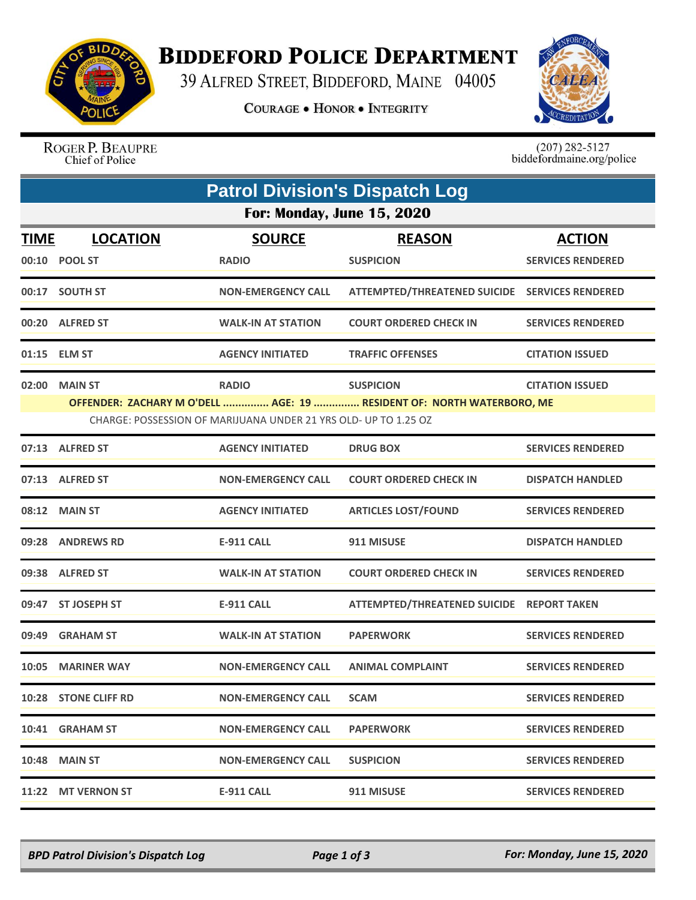

## **BIDDEFORD POLICE DEPARTMENT**

39 ALFRED STREET, BIDDEFORD, MAINE 04005

**COURAGE . HONOR . INTEGRITY** 



ROGER P. BEAUPRE Chief of Police

 $(207)$  282-5127<br>biddefordmaine.org/police

| <b>Patrol Division's Dispatch Log</b> |                                                                                                                                          |                           |                                                |                          |  |  |  |  |
|---------------------------------------|------------------------------------------------------------------------------------------------------------------------------------------|---------------------------|------------------------------------------------|--------------------------|--|--|--|--|
| For: Monday, June 15, 2020            |                                                                                                                                          |                           |                                                |                          |  |  |  |  |
| <b>TIME</b>                           | <b>LOCATION</b>                                                                                                                          | <b>SOURCE</b>             | <b>REASON</b>                                  | <b>ACTION</b>            |  |  |  |  |
|                                       | 00:10 POOL ST                                                                                                                            | <b>RADIO</b>              | <b>SUSPICION</b>                               | <b>SERVICES RENDERED</b> |  |  |  |  |
|                                       | 00:17 SOUTH ST                                                                                                                           | <b>NON-EMERGENCY CALL</b> | ATTEMPTED/THREATENED SUICIDE SERVICES RENDERED |                          |  |  |  |  |
|                                       | 00:20 ALFRED ST                                                                                                                          | <b>WALK-IN AT STATION</b> | <b>COURT ORDERED CHECK IN</b>                  | <b>SERVICES RENDERED</b> |  |  |  |  |
|                                       | 01:15 ELM ST                                                                                                                             | <b>AGENCY INITIATED</b>   | <b>TRAFFIC OFFENSES</b>                        | <b>CITATION ISSUED</b>   |  |  |  |  |
| 02:00                                 | <b>MAIN ST</b>                                                                                                                           | <b>RADIO</b>              | <b>SUSPICION</b>                               | <b>CITATION ISSUED</b>   |  |  |  |  |
|                                       | OFFENDER: ZACHARY M O'DELL  AGE: 19  RESIDENT OF: NORTH WATERBORO, ME<br>CHARGE: POSSESSION OF MARIJUANA UNDER 21 YRS OLD- UP TO 1.25 OZ |                           |                                                |                          |  |  |  |  |
|                                       | 07:13 ALFRED ST                                                                                                                          | <b>AGENCY INITIATED</b>   | <b>DRUG BOX</b>                                | <b>SERVICES RENDERED</b> |  |  |  |  |
|                                       | 07:13 ALFRED ST                                                                                                                          | <b>NON-EMERGENCY CALL</b> | <b>COURT ORDERED CHECK IN</b>                  | <b>DISPATCH HANDLED</b>  |  |  |  |  |
|                                       | 08:12 MAIN ST                                                                                                                            | <b>AGENCY INITIATED</b>   | <b>ARTICLES LOST/FOUND</b>                     | <b>SERVICES RENDERED</b> |  |  |  |  |
|                                       | 09:28 ANDREWS RD                                                                                                                         | <b>E-911 CALL</b>         | 911 MISUSE                                     | <b>DISPATCH HANDLED</b>  |  |  |  |  |
|                                       | 09:38 ALFRED ST                                                                                                                          | <b>WALK-IN AT STATION</b> | <b>COURT ORDERED CHECK IN</b>                  | <b>SERVICES RENDERED</b> |  |  |  |  |
|                                       | 09:47 ST JOSEPH ST                                                                                                                       | E-911 CALL                | ATTEMPTED/THREATENED SUICIDE REPORT TAKEN      |                          |  |  |  |  |
| 09:49                                 | <b>GRAHAM ST</b>                                                                                                                         | <b>WALK-IN AT STATION</b> | <b>PAPERWORK</b>                               | <b>SERVICES RENDERED</b> |  |  |  |  |
| 10:05                                 | <b>MARINER WAY</b>                                                                                                                       | <b>NON-EMERGENCY CALL</b> | <b>ANIMAL COMPLAINT</b>                        | <b>SERVICES RENDERED</b> |  |  |  |  |
|                                       | 10:28 STONE CLIFF RD                                                                                                                     | <b>NON-EMERGENCY CALL</b> | <b>SCAM</b>                                    | <b>SERVICES RENDERED</b> |  |  |  |  |
|                                       | 10:41 GRAHAM ST                                                                                                                          | <b>NON-EMERGENCY CALL</b> | <b>PAPERWORK</b>                               | <b>SERVICES RENDERED</b> |  |  |  |  |
|                                       | 10:48 MAIN ST                                                                                                                            | <b>NON-EMERGENCY CALL</b> | <b>SUSPICION</b>                               | <b>SERVICES RENDERED</b> |  |  |  |  |
|                                       | 11:22 MT VERNON ST                                                                                                                       | <b>E-911 CALL</b>         | 911 MISUSE                                     | <b>SERVICES RENDERED</b> |  |  |  |  |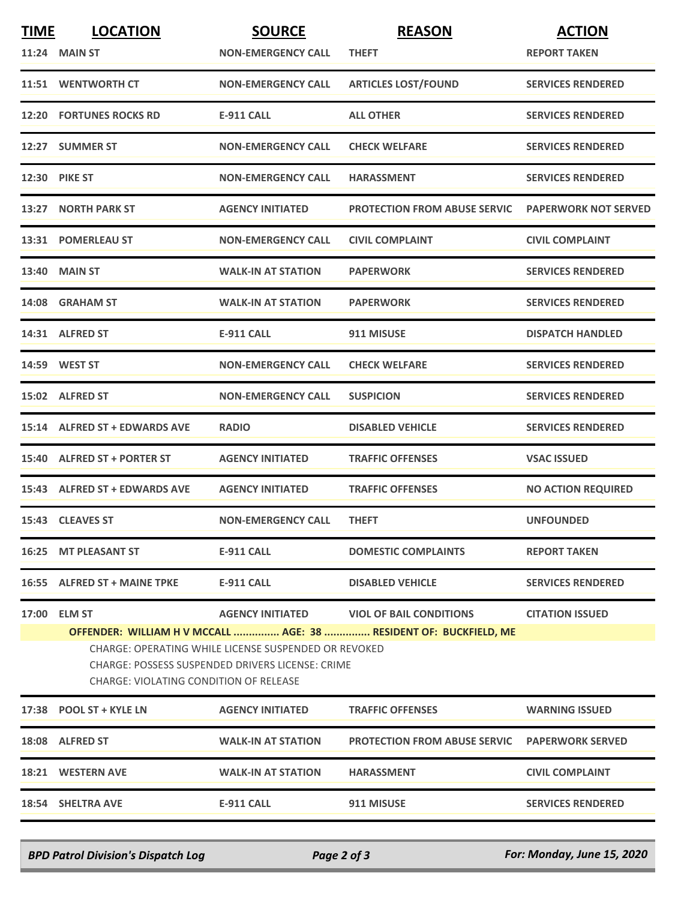| <b>TIME</b> | <b>LOCATION</b><br><b>11:24 MAIN ST</b>                                                                                                                                                                                                                                                                                         | <b>SOURCE</b><br><b>NON-EMERGENCY CALL</b> | <b>REASON</b><br><b>THEFT</b>       | <b>ACTION</b><br><b>REPORT TAKEN</b> |  |  |
|-------------|---------------------------------------------------------------------------------------------------------------------------------------------------------------------------------------------------------------------------------------------------------------------------------------------------------------------------------|--------------------------------------------|-------------------------------------|--------------------------------------|--|--|
|             | 11:51 WENTWORTH CT                                                                                                                                                                                                                                                                                                              | <b>NON-EMERGENCY CALL</b>                  | <b>ARTICLES LOST/FOUND</b>          | <b>SERVICES RENDERED</b>             |  |  |
|             | <b>12:20 FORTUNES ROCKS RD</b>                                                                                                                                                                                                                                                                                                  | <b>E-911 CALL</b>                          | <b>ALL OTHER</b>                    | <b>SERVICES RENDERED</b>             |  |  |
|             | 12:27 SUMMER ST                                                                                                                                                                                                                                                                                                                 | <b>NON-EMERGENCY CALL</b>                  | <b>CHECK WELFARE</b>                | <b>SERVICES RENDERED</b>             |  |  |
|             | <b>12:30 PIKE ST</b>                                                                                                                                                                                                                                                                                                            | <b>NON-EMERGENCY CALL</b>                  | <b>HARASSMENT</b>                   | <b>SERVICES RENDERED</b>             |  |  |
|             | 13:27 NORTH PARK ST                                                                                                                                                                                                                                                                                                             | <b>AGENCY INITIATED</b>                    | <b>PROTECTION FROM ABUSE SERVIC</b> | <b>PAPERWORK NOT SERVED</b>          |  |  |
|             | 13:31 POMERLEAU ST                                                                                                                                                                                                                                                                                                              | <b>NON-EMERGENCY CALL</b>                  | <b>CIVIL COMPLAINT</b>              | <b>CIVIL COMPLAINT</b>               |  |  |
|             | <b>13:40 MAIN ST</b>                                                                                                                                                                                                                                                                                                            | <b>WALK-IN AT STATION</b>                  | <b>PAPERWORK</b>                    | <b>SERVICES RENDERED</b>             |  |  |
|             | 14:08 GRAHAM ST                                                                                                                                                                                                                                                                                                                 | <b>WALK-IN AT STATION</b>                  | <b>PAPERWORK</b>                    | <b>SERVICES RENDERED</b>             |  |  |
|             | 14:31 ALFRED ST                                                                                                                                                                                                                                                                                                                 | <b>E-911 CALL</b>                          | 911 MISUSE                          | <b>DISPATCH HANDLED</b>              |  |  |
|             | 14:59 WEST ST                                                                                                                                                                                                                                                                                                                   | <b>NON-EMERGENCY CALL</b>                  | <b>CHECK WELFARE</b>                | <b>SERVICES RENDERED</b>             |  |  |
|             | 15:02 ALFRED ST                                                                                                                                                                                                                                                                                                                 | <b>NON-EMERGENCY CALL</b>                  | <b>SUSPICION</b>                    | <b>SERVICES RENDERED</b>             |  |  |
|             | 15:14 ALFRED ST + EDWARDS AVE                                                                                                                                                                                                                                                                                                   | <b>RADIO</b>                               | <b>DISABLED VEHICLE</b>             | <b>SERVICES RENDERED</b>             |  |  |
|             | 15:40 ALFRED ST + PORTER ST                                                                                                                                                                                                                                                                                                     | <b>AGENCY INITIATED</b>                    | <b>TRAFFIC OFFENSES</b>             | <b>VSAC ISSUED</b>                   |  |  |
|             | 15:43 ALFRED ST + EDWARDS AVE                                                                                                                                                                                                                                                                                                   | <b>AGENCY INITIATED</b>                    | <b>TRAFFIC OFFENSES</b>             | <b>NO ACTION REQUIRED</b>            |  |  |
|             | 15:43 CLEAVES ST                                                                                                                                                                                                                                                                                                                | <b>NON-EMERGENCY CALL</b>                  | <b>THEFT</b>                        | <b>UNFOUNDED</b>                     |  |  |
|             | 16:25 MT PLEASANT ST                                                                                                                                                                                                                                                                                                            | <b>E-911 CALL</b>                          | <b>DOMESTIC COMPLAINTS</b>          | <b>REPORT TAKEN</b>                  |  |  |
|             | 16:55 ALFRED ST + MAINE TPKE                                                                                                                                                                                                                                                                                                    | E-911 CALL                                 | <b>DISABLED VEHICLE</b>             | <b>SERVICES RENDERED</b>             |  |  |
| 17:00       | <b>ELM ST</b><br><b>AGENCY INITIATED</b><br><b>VIOL OF BAIL CONDITIONS</b><br><b>CITATION ISSUED</b><br>OFFENDER: WILLIAM H V MCCALL  AGE: 38  RESIDENT OF: BUCKFIELD, ME<br>CHARGE: OPERATING WHILE LICENSE SUSPENDED OR REVOKED<br>CHARGE: POSSESS SUSPENDED DRIVERS LICENSE: CRIME<br>CHARGE: VIOLATING CONDITION OF RELEASE |                                            |                                     |                                      |  |  |
|             | 17:38 POOL ST + KYLE LN                                                                                                                                                                                                                                                                                                         | <b>AGENCY INITIATED</b>                    | <b>TRAFFIC OFFENSES</b>             | <b>WARNING ISSUED</b>                |  |  |
|             | 18:08 ALFRED ST                                                                                                                                                                                                                                                                                                                 | <b>WALK-IN AT STATION</b>                  | <b>PROTECTION FROM ABUSE SERVIC</b> | <b>PAPERWORK SERVED</b>              |  |  |
|             | <b>18:21 WESTERN AVE</b>                                                                                                                                                                                                                                                                                                        | <b>WALK-IN AT STATION</b>                  | <b>HARASSMENT</b>                   | <b>CIVIL COMPLAINT</b>               |  |  |
|             | 18:54 SHELTRA AVE                                                                                                                                                                                                                                                                                                               | <b>E-911 CALL</b>                          | 911 MISUSE                          | <b>SERVICES RENDERED</b>             |  |  |

*BPD Patrol Division's Dispatch Log Page 2 of 3 For: Monday, June 15, 2020*